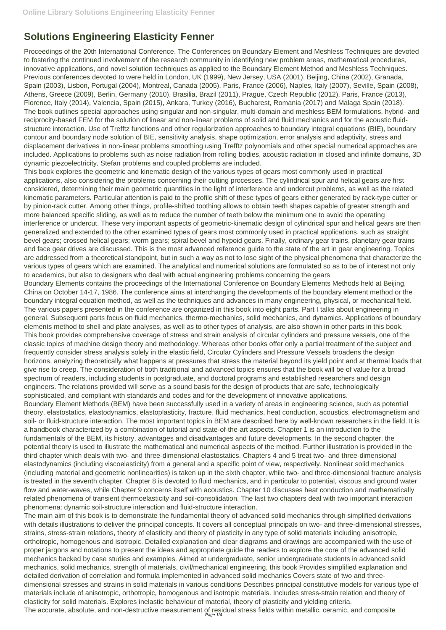## **Solutions Engineering Elasticity Fenner**

Proceedings of the 20th International Conference. The Conferences on Boundary Element and Meshless Techniques are devoted to fostering the continued involvement of the research community in identifying new problem areas, mathematical procedures, innovative applications, and novel solution techniques as applied to the Boundary Element Method and Meshless Techniques. Previous conferences devoted to were held in London, UK (1999), New Jersey, USA (2001), Beijing, China (2002), Granada, Spain (2003), Lisbon, Portugal (2004), Montreal, Canada (2005), Paris, France (2006), Naples, Italy (2007), Seville, Spain (2008), Athens, Greece (2009), Berlin, Germany (2010), Brasilia, Brazil (2011), Prague, Czech Republic (2012), Paris, France (2013), Florence, Italy (2014), Valencia, Spain (2015), Ankara, Turkey (2016), Bucharest, Romania (2017) and Malaga Spain (2018). The book outlines special approaches using singular and non-singular, multi-domain and meshless BEM formulations, hybrid- and reciprocity-based FEM for the solution of linear and non-linear problems of solid and fluid mechanics and for the acoustic fluidstructure interaction. Use of Trefftz functions and other regularization approaches to boundary integral equations (BIE), boundary contour and boundary node solution of BIE, sensitivity analysis, shape optimization, error analysis and adaptivity, stress and displacement derivatives in non-linear problems smoothing using Trefftz polynomials and other special numerical approaches are included. Applications to problems such as noise radiation from rolling bodies, acoustic radiation in closed and infinite domains, 3D dynamic piezoelectricity, Stefan problems and coupled problems are included.

This book explores the geometric and kinematic design of the various types of gears most commonly used in practical applications, also considering the problems concerning their cutting processes. The cylindrical spur and helical gears are first considered, determining their main geometric quantities in the light of interference and undercut problems, as well as the related kinematic parameters. Particular attention is paid to the profile shift of these types of gears either generated by rack-type cutter or by pinion-rack cutter. Among other things, profile-shifted toothing allows to obtain teeth shapes capable of greater strength and more balanced specific sliding, as well as to reduce the number of teeth below the minimum one to avoid the operating interference or undercut. These very important aspects of geometric-kinematic design of cylindrical spur and helical gears are then generalized and extended to the other examined types of gears most commonly used in practical applications, such as straight bevel gears; crossed helical gears; worm gears; spiral bevel and hypoid gears. Finally, ordinary gear trains, planetary gear trains and face gear drives are discussed. This is the most advanced reference guide to the state of the art in gear engineering. Topics are addressed from a theoretical standpoint, but in such a way as not to lose sight of the physical phenomena that characterize the various types of gears which are examined. The analytical and numerical solutions are formulated so as to be of interest not only to academics, but also to designers who deal with actual engineering problems concerning the gears

Boundary Elements contains the proceedings of the International Conference on Boundary Elements Methods held at Beijing, China on October 14-17, 1986. The conference aims at interchanging the developments of the boundary element method or the boundary integral equation method, as well as the techniques and advances in many engineering, physical, or mechanical field. The various papers presented in the conference are organized in this book into eight parts. Part I talks about engineering in general. Subsequent parts focus on fluid mechanics, thermo-mechanics, solid mechanics, and dynamics. Applications of boundary elements method to shell and plate analyses, as well as to other types of analysis, are also shown in other parts in this book. This book provides comprehensive coverage of stress and strain analysis of circular cylinders and pressure vessels, one of the classic topics of machine design theory and methodology. Whereas other books offer only a partial treatment of the subject and frequently consider stress analysis solely in the elastic field, Circular Cylinders and Pressure Vessels broadens the design horizons, analyzing theoretically what happens at pressures that stress the material beyond its yield point and at thermal loads that give rise to creep. The consideration of both traditional and advanced topics ensures that the book will be of value for a broad spectrum of readers, including students in postgraduate, and doctoral programs and established researchers and design engineers. The relations provided will serve as a sound basis for the design of products that are safe, technologically sophisticated, and compliant with standards and codes and for the development of innovative applications. Boundary Element Methods (BEM) have been successfully used in a variety of areas in engineering science, such as potential theory, elastostatics, elastodynamics, elastoplasticity, fracture, fluid mechanics, heat conduction, acoustics, electromagnetism and soil- or fluid-structure interaction. The most important topics in BEM are described here by well-known researchers in the field. It is a handbook characterized by a combination of tutorial and state-of-the-art aspects. Chapter 1 is an introduction to the fundamentals of the BEM, its history, advantages and disadvantages and future developments. In the second chapter, the potential theory is used to illustrate the mathematical and numerical aspects of the method. Further illustration is provided in the third chapter which deals with two- and three-dimensional elastostatics. Chapters 4 and 5 treat two- and three-dimensional elastodynamics (including viscoelasticity) from a general and a specific point of view, respectively. Nonlinear solid mechanics (including material and geometric nonlinearities) is taken up in the sixth chapter, while two- and three-dimensional fracture analysis

is treated in the seventh chapter. Chapter 8 is devoted to fluid mechanics, and in particular to potential, viscous and ground water flow and water-waves, while Chapter 9 concerns itself with acoustics. Chapter 10 discusses heat conduction and mathematically related phenomena of transient thermoelasticity and soil-consolidation. The last two chapters deal with two important interaction phenomena: dynamic soil-structure interaction and fluid-structure interaction.

The main aim of this book is to demonstrate the fundamental theory of advanced solid mechanics through simplified derivations with details illustrations to deliver the principal concepts. It covers all conceptual principals on two- and three-dimensional stresses, strains, stress-strain relations, theory of elasticity and theory of plasticity in any type of solid materials including anisotropic, orthotropic, homogenous and isotropic. Detailed explanation and clear diagrams and drawings are accompanied with the use of proper jargons and notations to present the ideas and appropriate guide the readers to explore the core of the advanced solid mechanics backed by case studies and examples. Aimed at undergraduate, senior undergraduate students in advanced solid mechanics, solid mechanics, strength of materials, civil/mechanical engineering, this book Provides simplified explanation and detailed derivation of correlation and formula implemented in advanced solid mechanics Covers state of two and threedimensional stresses and strains in solid materials in various conditions Describes principal constitutive models for various type of materials include of anisotropic, orthotropic, homogenous and isotropic materials. Includes stress-strain relation and theory of elasticity for solid materials. Explores inelastic behaviour of material, theory of plasticity and yielding criteria. The accurate, absolute, and non-destructive measurement of residual stress fields within metallic, ceramic, and composite Page 1/4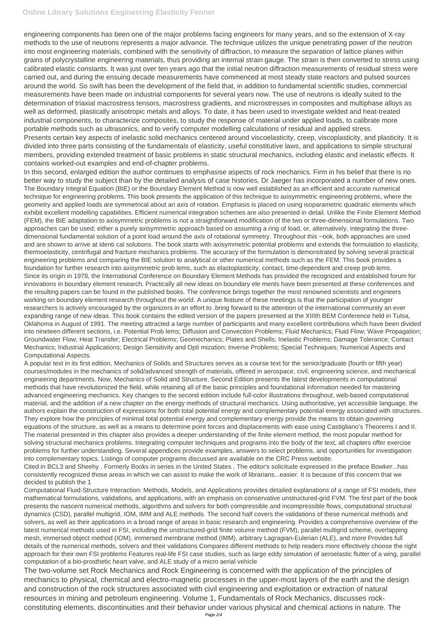## **Online Library Solutions Engineering Elasticity Fenner**

engineering components has been one of the major problems facing engineers for many years, and so the extension of X-ray methods to the use of neutrons represents a major advance. The technique utilizes the unique penetrating power of the neutron into most engineering materials, combined with the sensitivity of diffraction, to measure the separation of lattice planes within grains of polycrystalline engineering materials, thus providing an internal strain gauge. The strain is then converted to stress using calibrated elastic constants. It was just over ten years ago that the initial neutron diffraction measurements of residual stress were carried out, and during the ensuing decade measurements have commenced at most steady state reactors and pulsed sources around the world. So swift has been the development of the field that, in addition to fundamental scientific studies, commercial measurements have been made on industrial components for several years now. The use of neutrons is ideally suited to the determination of triaxial macrostress tensors, macrostress gradients, and microstresses in composites and multiphase alloys as well as deformed, plastically anisotropic metals and alloys. To date, it has been used to investigate welded and heat-treated industrial components, to characterize composites, to study the response of material under applied loads, to calibrate more portable methods such as ultrasonics, and to verify computer modelling calculations of residual and applied stress. Presents certain key aspects of inelastic solid mechanics centered around viscoelasticity, creep, viscoplasticity, and plasticity. It is divided into three parts consisting of the fundamentals of elasticity, useful constitutive laws, and applications to simple structural members, providing extended treatment of basic problems in static structural mechanics, including elastic and inelastic effects. It contains worked-out examples and end-of-chapter problems.

In this second, enlarged edition the author continues to emphasise aspects of rock mechanics. Firm in his belief that there is no better way to study the subject than by the detailed analysis of case histories, Dr Jaeger has incorporated a number of new ones. The Boundary Integral Equation (BIE) or the Boundary Element Method is now well established as an efficient and accurate numerical technique for engineering problems. This book presents the application of this technique to axisymmetric engineering problems, where the geometry and applied loads are symmetrical about an axis of rotation. Emphasis is placed on using isoparametric quadratic elements which exhibit excellent modelling capabilities. Efficient numerical integration schemes are also presented in detail. Unlike the Finite Element Method (FEM), the BIE adaptation to axisymmetric problems is not a straightforward modification of the two or three-dimensional formulations. Two approaches can be used; either a purely axisymmetric approach based on assuming a ring of load, or, alternatively, integrating the threedimensional fundamental solution of a point load around the axis of rotational symmetry. Throughout this ~ook, both approaches are used and are shown to arrive at identi cal solutions. The book starts with axisymmetric potential problems and extends the formulation to elasticity, thermoelasticity, centrifugal and fracture mechanics problems. The accuracy of the formulation is demonstrated by solving several practical engineering problems and comparing the BIE solution to analytical or other numerical methods such as the FEM. This book provides a foundation for further research into axisymmetric prob lems, such as elastoplasticity, contact, time-dependent and creep prob lems. Since its origin in 1978, the International Conference on Boundary Element Methods has provided the recognized and established forum for innovations in boundary element research. Practically all new ideas on boundary ele ments have been presented at these conferences and the resulting papers can be found in the published books. The conference brings together the most renowned scientists and engineers working on boundary element research throughout the world. A unique feature of these meetings is that the participation of younger researchers is actively encouraged by the organizers in an effort to .bring forward to the attention of the international community an ever expanding range of new ideas. This book contains the edited version of the papers presented at the XIIIth BEM Conference held in Tulsa, Oklahoma in August of 1991. The meeting attracted a large number of participants and many excellent contributions which have been divided into nineteen different sections, i.e. Potential Prob lems; Diffusion and Convection Problems; Fluid Mechanics; Fluid Flow; Wave Propagation; Groundwater Flow; Heat Transfer; Electrical Problems; Geomechanics; Plates and Shells; Inelastic Problems; Damage Tolerance; Contact Mechanics; Industrial Applications; Design Sensitivity and Opti mization; Inverse Problems; Special Techniques; Numerical Aspects and Computational Aspects.

A popular text in its first edition, Mechanics of Solids and Structures serves as a course text for the senior/graduate (fourth or fifth year) courses/modules in the mechanics of solid/advanced strength of materials, offered in aerospace, civil, engineering science, and mechanical engineering departments. Now, Mechanics of Solid and Structure, Second Edition presents the latest developments in computational methods that have revolutionized the field, while retaining all of the basic principles and foundational information needed for mastering advanced engineering mechanics. Key changes to the second edition include full-color illustrations throughout, web-based computational material, and the addition of a new chapter on the energy methods of structural mechanics. Using authoritative, yet accessible language, the authors explain the construction of expressions for both total potential energy and complementary potential energy associated with structures. They explore how the principles of minimal total potential energy and complementary energy provide the means to obtain governing equations of the structure, as well as a means to determine point forces and displacements with ease using Castigliano's Theorems I and II. The material presented in this chapter also provides a deeper understanding of the finite element method, the most popular method for solving structural mechanics problems. Integrating computer techniques and programs into the body of the text, all chapters offer exercise problems for further understanding. Several appendices provide examples, answers to select problems, and opportunities for investigation into complementary topics. Listings of computer programs discussed are available on the CRC Press website.

Cited in BCL3 and Sheehy . Formerly Books in series in the United States . The editor's solicitude expressed in the preface Bowker...has consistently recognized those areas in which we can assist to make the work of librarians...easier. It is because of this concern that we decided to publish the 1

Computational Fluid-Structure Interaction: Methods, Models, and Applications provides detailed explanations of a range of FSI models, their mathematical formulations, validations, and applications, with an emphasis on conservative unstructured-grid FVM. The first part of the book presents the nascent numerical methods, algorithms and solvers for both compressible and incompressible flows, computational structural dynamics (CSD), parallel multigrid, IOM, IMM and ALE methods. The second half covers the validations of these numerical methods and solvers, as well as their applications in a broad range of areas in basic research and engineering. Provides a comprehensive overview of the latest numerical methods used in FSI, including the unstructured-grid finite volume method (FVM), parallel multigrid scheme, overlapping mesh, immersed object method (IOM), immersed membrane method (IMM), arbitrary Lagragian-Eulerian (ALE), and more Provides full details of the numerical methods, solvers and their validations Compares different methods to help readers more effectively choose the right approach for their own FSI problems Features real-life FSI case studies, such as large eddy simulation of aeroelastic flutter of a wing, parallel computation of a bio-prosthetic heart valve, and ALE study of a micro aerial vehicle

The two-volume set Rock Mechanics and Rock Engineering is concerned with the application of the principles of mechanics to physical, chemical and electro-magnetic processes in the upper-most layers of the earth and the design and construction of the rock structures associated with civil engineering and exploitation or extraction of natural resources in mining and petroleum engineering. Volume 1, Fundamentals of Rock Mechanics, discusses rockconstituting elements, discontinuities and their behavior under various physical and chemical actions in nature. The Page 2/4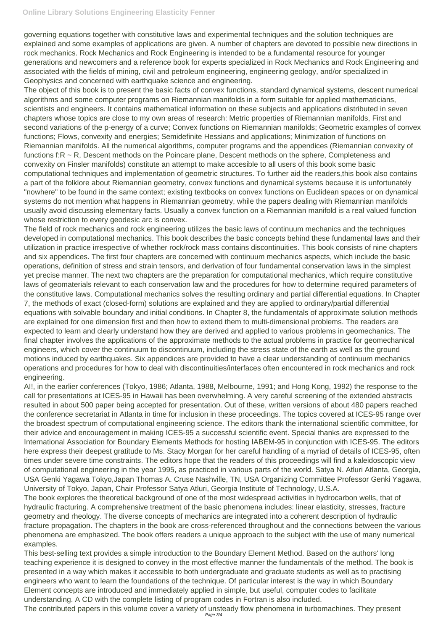## **Online Library Solutions Engineering Elasticity Fenner**

governing equations together with constitutive laws and experimental techniques and the solution techniques are explained and some examples of applications are given. A number of chapters are devoted to possible new directions in rock mechanics. Rock Mechanics and Rock Engineering is intended to be a fundamental resource for younger generations and newcomers and a reference book for experts specialized in Rock Mechanics and Rock Engineering and associated with the fields of mining, civil and petroleum engineering, engineering geology, and/or specialized in Geophysics and concerned with earthquake science and engineering.

The object of this book is to present the basic facts of convex functions, standard dynamical systems, descent numerical algorithms and some computer programs on Riemannian manifolds in a form suitable for applied mathematicians, scientists and engineers. It contains mathematical information on these subjects and applications distributed in seven chapters whose topics are close to my own areas of research: Metric properties of Riemannian manifolds, First and second variations of the p-energy of a curve; Convex functions on Riemannian manifolds; Geometric examples of convex functions; Flows, convexity and energies; Semidefinite Hessians and applications; Minimization of functions on Riemannian manifolds. All the numerical algorithms, computer programs and the appendices (Riemannian convexity of functions f:R ~ R, Descent methods on the Poincare plane, Descent methods on the sphere, Completeness and convexity on Finsler manifolds) constitute an attempt to make accesible to all users of this book some basic computational techniques and implementation of geometric structures. To further aid the readers,this book also contains a part of the folklore about Riemannian geometry, convex functions and dynamical systems because it is unfortunately "nowhere" to be found in the same context; existing textbooks on convex functions on Euclidean spaces or on dynamical systems do not mention what happens in Riemannian geometry, while the papers dealing with Riemannian manifolds usually avoid discussing elementary facts. Usually a convex function on a Riemannian manifold is a real valued function whose restriction to every geodesic arc is convex.

The field of rock mechanics and rock engineering utilizes the basic laws of continuum mechanics and the techniques developed in computational mechanics. This book describes the basic concepts behind these fundamental laws and their utilization in practice irrespective of whether rock/rock mass contains discontinuities. This book consists of nine chapters and six appendices. The first four chapters are concerned with continuum mechanics aspects, which include the basic operations, definition of stress and strain tensors, and derivation of four fundamental conservation laws in the simplest yet precise manner. The next two chapters are the preparation for computational mechanics, which require constitutive laws of geomaterials relevant to each conservation law and the procedures for how to determine required parameters of the constitutive laws. Computational mechanics solves the resulting ordinary and partial differential equations. In Chapter 7, the methods of exact (closed-form) solutions are explained and they are applied to ordinary/partial differential equations with solvable boundary and initial conditions. In Chapter 8, the fundamentals of approximate solution methods are explained for one dimension first and then how to extend them to multi-dimensional problems. The readers are expected to learn and clearly understand how they are derived and applied to various problems in geomechanics. The final chapter involves the applications of the approximate methods to the actual problems in practice for geomechanical engineers, which cover the continuum to discontinuum, including the stress state of the earth as well as the ground motions induced by earthquakes. Six appendices are provided to have a clear understanding of continuum mechanics operations and procedures for how to deal with discontinuities/interfaces often encountered in rock mechanics and rock engineering.

AI!, in the earlier conferences (Tokyo, 1986; Atlanta, 1988, Melbourne, 1991; and Hong Kong, 1992) the response to the call for presentations at ICES-95 in Hawaii has been overwhelming. A very careful screening of the extended abstracts resulted in about 500 paper being accepted for presentation. Out of these, written versions of about 480 papers reached the conference secretariat in Atlanta in time for inclusion in these proceedings. The topics covered at ICES-95 range over the broadest spectrum of computational engineering science. The editors thank the international scientific committee, for their advice and encouragement in making ICES-95 a successful scientific event. Special thanks are expressed to the International Association for Boundary Elements Methods for hosting IABEM-95 in conjunction with ICES-95. The editors here express their deepest gratitude to Ms. Stacy Morgan for her careful handling of a myriad of details of ICES-95, often times under severe time constraints. The editors hope that the readers of this proceedings will find a kaleidoscopic view of computational engineering in the year 1995, as practiced in various parts of the world. Satya N. Atluri Atlanta, Georgia, USA Genki Yagawa Tokyo,Japan Thomas A. Cruse Nashville, TN, USA Organizing Committee Professor Genki Yagawa, University of Tokyo, Japan, Chair Professor Satya Atluri, Georgia Institute of Technology, U.S.A. The book explores the theoretical background of one of the most widespread activities in hydrocarbon wells, that of hydraulic fracturing. A comprehensive treatment of the basic phenomena includes: linear elasticity, stresses, fracture geometry and rheology. The diverse concepts of mechanics are integrated into a coherent description of hydraulic fracture propagation. The chapters in the book are cross-referenced throughout and the connections between the various phenomena are emphasized. The book offers readers a unique approach to the subject with the use of many numerical examples. This best-selling text provides a simple introduction to the Boundary Element Method. Based on the authors' long teaching experience it is designed to convey in the most effective manner the fundamentals of the method. The book is presented in a way which makes it accessible to both undergraduate and graduate students as well as to practising engineers who want to learn the foundations of the technique. Of particular interest is the way in which Boundary Element concepts are introduced and immediately applied in simple, but useful, computer codes to facilitate understanding. A CD with the complete listing of program codes in Fortran is also included. The contributed papers in this volume cover a variety of unsteady flow phenomena in turbomachines. They present Page 3/4